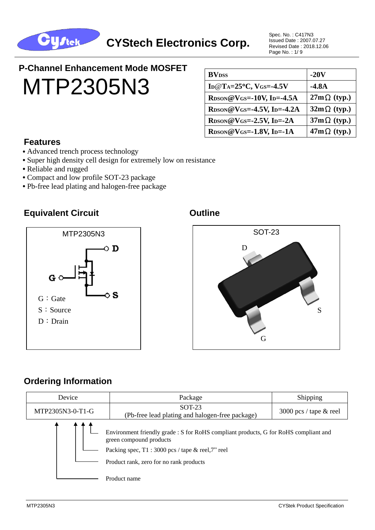

Spec. No. : C417N3 Issued Date : 2007.07.27 Revised Date : 2018.12.06 Page No. : 1/ 9

# **P-Channel Enhancement Mode MOSFET** MTP2305N3

| <b>BV</b> <sub>DSS</sub>                                   | $-20V$             |
|------------------------------------------------------------|--------------------|
| ID@T <sub>A</sub> = $25^{\circ}$ C, V <sub>GS</sub> =-4.5V | $-4.8A$            |
| $R_{DSON}$ @VGS=-10V, Ip=-4.5A                             | $27m\Omega$ (typ.) |
| $R_{DSON}$ @VGS=-4.5V, Ip=-4.2A                            | $32m\Omega$ (typ.) |
| $Roson@V$ GS=-2.5V, ID=-2A                                 | $37m\Omega$ (typ.) |
| $R_{DSON}$ @VGS=-1.8V, ID=-1A                              | $47m\Omega$ (typ.) |

#### **Features**

- Advanced trench process technology
- Super high density cell design for extremely low on resistance
- **•** Reliable and rugged
- **•** Compact and low profile SOT-23 package
- **•** Pb-free lead plating and halogen-free package

#### **Equivalent Circuit Canadian Construction Construction Cuttine**





#### **Ordering Information**

| Device           | Package                                                                                                                                                                                                          | Shipping                 |  |
|------------------|------------------------------------------------------------------------------------------------------------------------------------------------------------------------------------------------------------------|--------------------------|--|
| MTP2305N3-0-T1-G | $SOT-23$<br>(Pb-free lead plating and halogen-free package)                                                                                                                                                      | 3000 pcs / tape $&$ reel |  |
|                  | Environment friendly grade : S for RoHS compliant products, G for RoHS compliant and<br>green compound products<br>Packing spec, $T1:3000$ pcs / tape & reel, 7" reel<br>Product rank, zero for no rank products |                          |  |
|                  | Product name                                                                                                                                                                                                     |                          |  |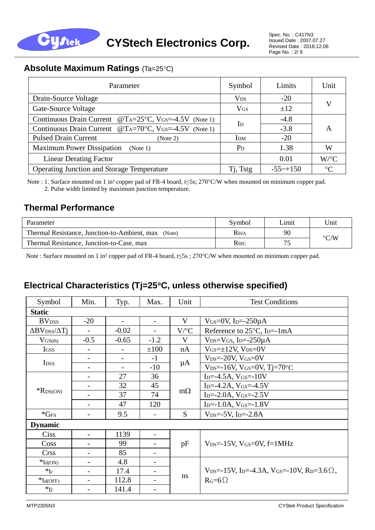

#### **Absolute Maximum Ratings (Ta=25°C)**

| Parameter                                                | Symbol                | Limits                 | Unit                 |
|----------------------------------------------------------|-----------------------|------------------------|----------------------|
| Drain-Source Voltage                                     | <b>V<sub>DS</sub></b> | $-20$                  |                      |
| Gate-Source Voltage                                      | <b>VGS</b>            | ±12                    | V                    |
| Continuous Drain Current $@TA=25°C$ , VGS=-4.5V (Note 1) | $\mathbf{I}$          | $-4.8$                 |                      |
| Continuous Drain Current $@TA=70°C$ , VGS=-4.5V (Note 1) |                       | $-3.8$                 | A                    |
| <b>Pulsed Drain Current</b><br>(Note 2)                  | I <sub>DM</sub>       | $-20$                  |                      |
| <b>Maximum Power Dissipation</b><br>(Note 1)             | $P_D$                 | 1.38                   | W                    |
| <b>Linear Derating Factor</b>                            |                       | 0.01                   | $W$ <sup>o</sup> $C$ |
| <b>Operating Junction and Storage Temperature</b>        | T <sub>i</sub> , Tstg | $-55 \rightarrow +150$ | $\circ$ C            |

Note : 1. Surface mounted on 1 in<sup>2</sup> copper pad of FR-4 board, t≤5s; 270°C/W when mounted on minimum copper pad. 2. Pulse width limited by maximum junction temperature.

#### **Thermal Performance**

| Parameter                                           | Symbol            | Limit | Unit               |
|-----------------------------------------------------|-------------------|-------|--------------------|
| Thermal Resistance, Junction-to-Ambient, max (Note) | R <sub>0</sub> IA | 90    | $\rm ^{\circ} C/W$ |
| Thermal Resistance, Junction-to-Case, max           | $R$ $\theta$ JC   |       |                    |

Note : Surface mounted on 1 in<sup>2</sup> copper pad of FR-4 board, t≤5s ; 270°C/W when mounted on minimum copper pad.

#### **Electrical Characteristics (Tj=25C, unless otherwise specified)**

| Symbol                                               | Min.                     | Typ.                     | Max.                     | Unit                 | <b>Test Conditions</b>                                                                                 |  |  |
|------------------------------------------------------|--------------------------|--------------------------|--------------------------|----------------------|--------------------------------------------------------------------------------------------------------|--|--|
| <b>Static</b>                                        |                          |                          |                          |                      |                                                                                                        |  |  |
| <b>BV</b> <sub>DSS</sub>                             | $-20$                    | $\overline{\phantom{0}}$ | $\overline{\phantom{0}}$ | V                    | $V$ <sub>GS</sub> =0V, I <sub>D</sub> =-250 $\mu$ A                                                    |  |  |
| $\Delta$ BV <sub>DSS</sub> / $\Delta$ T <sub>1</sub> |                          | $-0.02$                  |                          | $V$ <sup>o</sup> $C$ | Reference to $25^{\circ}$ C, I <sub>D</sub> =-1mA                                                      |  |  |
| $V_{GS(th)}$                                         | $-0.5$                   | $-0.65$                  | $-1.2$                   | V                    | $V_{DS}=V_{GS}$ , I <sub>D</sub> =-250 $\mu$ A                                                         |  |  |
| IGSS                                                 |                          |                          | ±100                     | nA                   | $V$ <sub>GS</sub> $=$ $\pm$ 12V, $V$ <sub>DS</sub> $=$ $0$ V                                           |  |  |
| I <sub>DSS</sub>                                     | $\overline{\phantom{a}}$ | $\overline{\phantom{a}}$ | $-1$                     |                      | $V_{DS} = -20V$ , $V_{GS} = 0V$                                                                        |  |  |
|                                                      | $\overline{\phantom{a}}$ | $\overline{\phantom{0}}$ | $-10$                    | $\mu A$              | $V_{DS} = -16V$ , $V_{GS} = 0V$ , $T = 70°C$                                                           |  |  |
|                                                      | $\overline{\phantom{a}}$ | 27                       | 36                       |                      | $I_{D} = -4.5A$ , $V_{GS} = -10V$                                                                      |  |  |
| $*$ RDS(ON)                                          |                          | 32                       | 45                       | $m\Omega$            | $I_{D} = -4.2A$ , $V_{GS} = -4.5V$                                                                     |  |  |
|                                                      |                          | 37                       | 74                       |                      | $I_{D} = -2.0A$ , $V_{GS} = -2.5V$                                                                     |  |  |
|                                                      | $\overline{\phantom{0}}$ | 47                       | 120                      |                      | $I_{D} = -1.0A$ , $V_{GS} = -1.8V$                                                                     |  |  |
| $*GFS$                                               | $\overline{\phantom{a}}$ | 9.5                      |                          | S                    | $V_{DS} = -5V$ , I <sub>D</sub> $=-2.8A$                                                               |  |  |
| <b>Dynamic</b>                                       |                          |                          |                          |                      |                                                                                                        |  |  |
| Ciss                                                 | $\overline{a}$           | 1139                     |                          |                      |                                                                                                        |  |  |
| Coss                                                 |                          | 99                       |                          | pF                   | $V_{DS} = -15V$ , $V_{GS} = 0V$ , $f = 1MHz$                                                           |  |  |
| <b>Crss</b>                                          | $\overline{\phantom{0}}$ | 85                       | $\overline{\phantom{0}}$ |                      |                                                                                                        |  |  |
| $*_{td(ON)}$                                         | $\overline{\phantom{a}}$ | 4.8                      |                          |                      |                                                                                                        |  |  |
| $*_{tr}$                                             |                          | 17.4                     |                          | ns                   | $V_{DS} = -15V$ , I <sub>D</sub> $= -4.3A$ , V <sub>GS</sub> $= -10V$ , R <sub>D</sub> $= 3.6\Omega$ , |  |  |
| $*$ t <sub>d</sub> (OFF)                             | $\overline{\phantom{0}}$ | 112.8                    |                          |                      | $R_G=6\Omega$                                                                                          |  |  |
| $*$ tf                                               | $\overline{\phantom{a}}$ | 141.4                    | $\overline{\phantom{0}}$ |                      |                                                                                                        |  |  |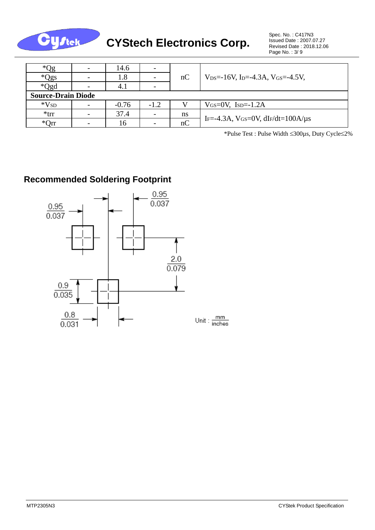

| $^*Qg$                    | $\overline{\phantom{a}}$ | 14.6    |        |    |                                                                          |  |  |  |
|---------------------------|--------------------------|---------|--------|----|--------------------------------------------------------------------------|--|--|--|
| *Qgs                      | $\overline{\phantom{0}}$ | 1.8     |        | nC | $V_{DS} = -16V$ , I <sub>D</sub> $= -4.3A$ , V <sub>GS</sub> $= -4.5V$ , |  |  |  |
| *Qgd                      | $\overline{\phantom{0}}$ | 4.1     |        |    |                                                                          |  |  |  |
| <b>Source-Drain Diode</b> |                          |         |        |    |                                                                          |  |  |  |
| $*V_{SD}$                 | -                        | $-0.76$ | $-1.2$ |    | $V$ <sub>GS</sub> = $0$ V, I <sub>SD</sub> = $-1.2$ A                    |  |  |  |
| $*$ trr                   | $\overline{\phantom{a}}$ | 37.4    |        | ns | IF=-4.3A, $V$ GS=0V, dIF/dt=100A/ $\mu$ s                                |  |  |  |
| $*Orr$                    |                          | 16      |        | nC |                                                                          |  |  |  |

\*Pulse Test : Pulse Width 300µs, Duty Cycle2%

# **Recommended Soldering Footprint**

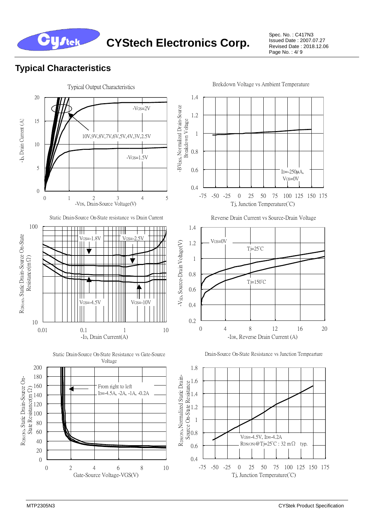

Spec. No. : C417N3 Issued Date : 2007.07.27 Revised Date : 2018.12.06 Page No. : 4/ 9

#### **Typical Characteristics**

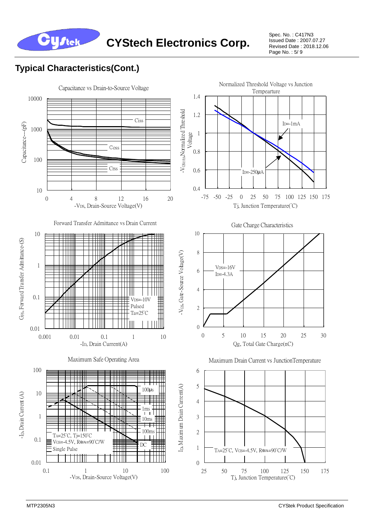

Spec. No. : C417N3 Issued Date : 2007.07.27 Revised Date : 2018.12.06 Page No. : 5/ 9

## **Typical Characteristics(Cont.)**

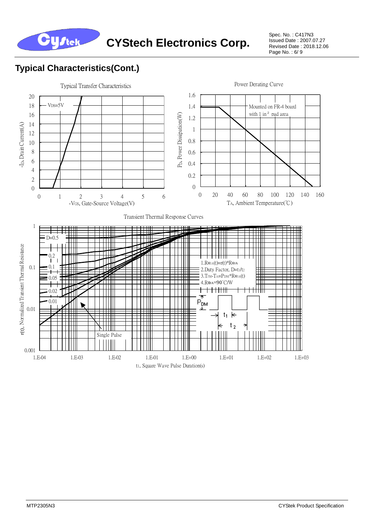

Spec. No. : C417N3 Issued Date : 2007.07.27 Revised Date : 2018.12.06 Page No. : 6/ 9

### **Typical Characteristics(Cont.)**

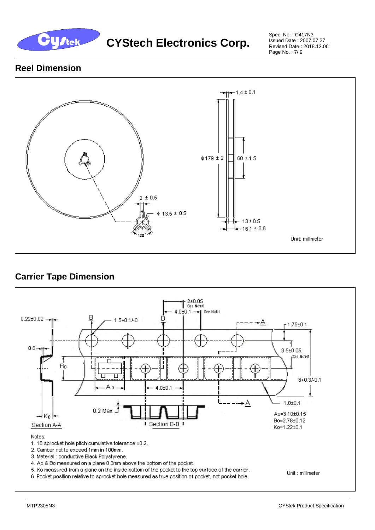

**CYStech Electronics Corp.** 

Spec. No. : C417N3 Issued Date : 2007.07.27 Revised Date : 2018.12.06 Page No. : 7/ 9

#### **Reel Dimension**



#### **Carrier Tape Dimension**

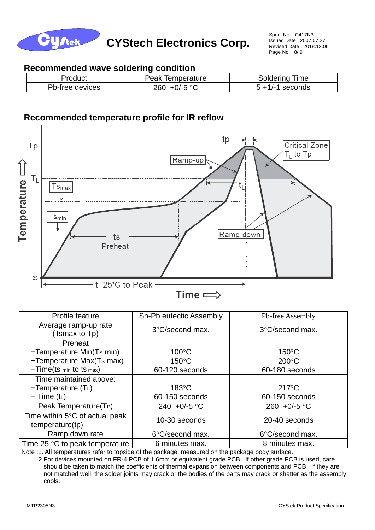

#### **Recommended wave soldering condition**

| Product         | Peak Temperature       | <b>Soldering Time</b> |
|-----------------|------------------------|-----------------------|
| Pb-free devices | +0/-5 °C<br><b>260</b> | $5 + 1/-1$ seconds    |

#### **Recommended temperature profile for IR reflow**



| Profile feature                                             | Sn-Pb eutectic Assembly | Pb-free Assembly      |
|-------------------------------------------------------------|-------------------------|-----------------------|
| Average ramp-up rate<br>(Tsmax to Tp)                       | 3°C/second max.         | 3°C/second max.       |
| Preheat                                                     |                         |                       |
| -Temperature Min(Ts min)                                    | $100^{\circ}$ C         | $150^{\circ}$ C       |
| -Temperature Max(Ts max)                                    | $150^{\circ}$ C         | $200^{\circ}$ C       |
| $-Time(ts \text{ min to ts max})$                           | 60-120 seconds          | 60-180 seconds        |
| Time maintained above:                                      |                         |                       |
| $-Temperature(TL)$                                          | $183^{\circ}$ C         | $217^{\circ}$ C       |
| $-$ Time (t <sub>L</sub> )                                  | 60-150 seconds          | 60-150 seconds        |
| Peak Temperature(T <sub>P</sub> )                           | 240 +0/-5 $\degree$ C   | 260 +0/-5 $\degree$ C |
| Time within $5^{\circ}$ C of actual peak<br>temperature(tp) | 10-30 seconds           | 20-40 seconds         |
| Ramp down rate                                              | 6°C/second max.         | 6°C/second max.       |
| Time 25 $\degree$ C to peak temperature                     | 6 minutes max.          | 8 minutes max.        |

Note :1. All temperatures refer to topside of the package, measured on the package body surface.

 2.For devices mounted on FR-4 PCB of 1.6mm or equivalent grade PCB. If other grade PCB is used, care should be taken to match the coefficients of thermal expansion between components and PCB. If they are not matched well, the solder joints may crack or the bodies of the parts may crack or shatter as the assembly cools.